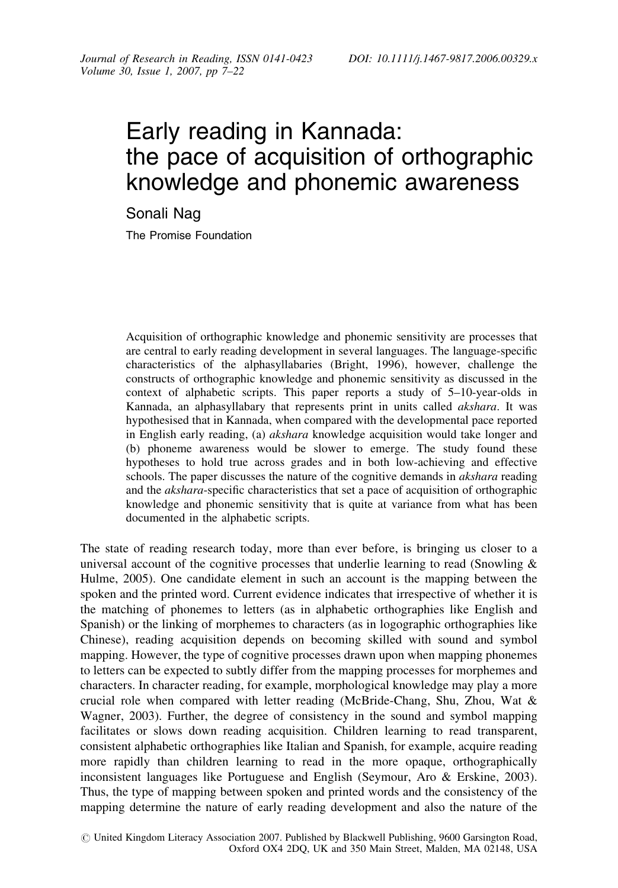# Early reading in Kannada: the pace of acquisition of orthographic knowledge and phonemic awareness

Sonali Nag The Promise Foundation

Acquisition of orthographic knowledge and phonemic sensitivity are processes that are central to early reading development in several languages. The language-specific characteristics of the alphasyllabaries (Bright, 1996), however, challenge the constructs of orthographic knowledge and phonemic sensitivity as discussed in the context of alphabetic scripts. This paper reports a study of 5–10-year-olds in Kannada, an alphasyllabary that represents print in units called akshara. It was hypothesised that in Kannada, when compared with the developmental pace reported in English early reading, (a) *akshara* knowledge acquisition would take longer and (b) phoneme awareness would be slower to emerge. The study found these hypotheses to hold true across grades and in both low-achieving and effective schools. The paper discusses the nature of the cognitive demands in *akshara* reading and the akshara-specific characteristics that set a pace of acquisition of orthographic knowledge and phonemic sensitivity that is quite at variance from what has been documented in the alphabetic scripts.

The state of reading research today, more than ever before, is bringing us closer to a universal account of the cognitive processes that underlie learning to read (Snowling  $\&$ Hulme, 2005). One candidate element in such an account is the mapping between the spoken and the printed word. Current evidence indicates that irrespective of whether it is the matching of phonemes to letters (as in alphabetic orthographies like English and Spanish) or the linking of morphemes to characters (as in logographic orthographies like Chinese), reading acquisition depends on becoming skilled with sound and symbol mapping. However, the type of cognitive processes drawn upon when mapping phonemes to letters can be expected to subtly differ from the mapping processes for morphemes and characters. In character reading, for example, morphological knowledge may play a more crucial role when compared with letter reading (McBride-Chang, Shu, Zhou, Wat & Wagner, 2003). Further, the degree of consistency in the sound and symbol mapping facilitates or slows down reading acquisition. Children learning to read transparent, consistent alphabetic orthographies like Italian and Spanish, for example, acquire reading more rapidly than children learning to read in the more opaque, orthographically inconsistent languages like Portuguese and English (Seymour, Aro & Erskine, 2003). Thus, the type of mapping between spoken and printed words and the consistency of the mapping determine the nature of early reading development and also the nature of the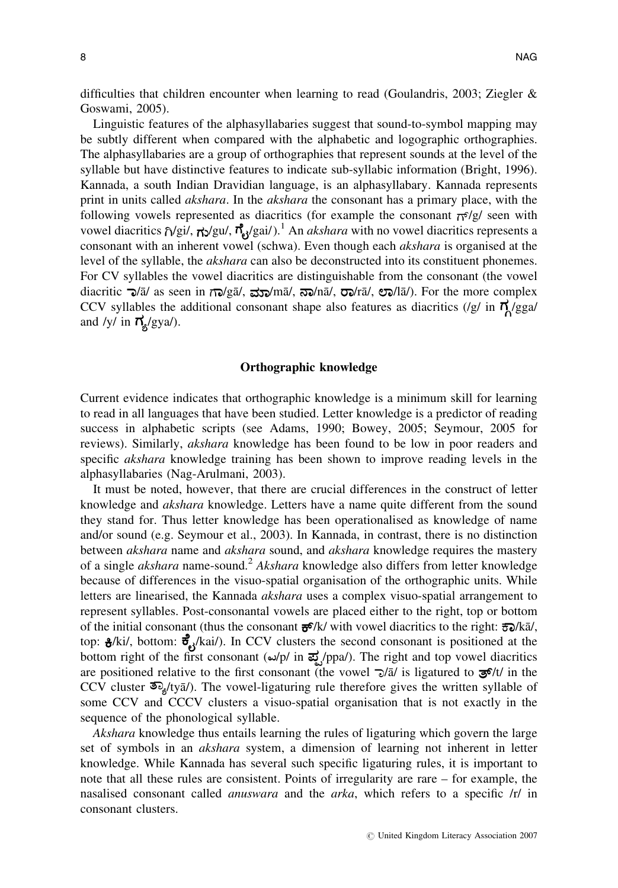difficulties that children encounter when learning to read (Goulandris, 2003; Ziegler & Goswami, 2005).

Linguistic features of the alphasyllabaries suggest that sound-to-symbol mapping may be subtly different when compared with the alphabetic and logographic orthographies. The alphasyllabaries are a group of orthographies that represent sounds at the level of the syllable but have distinctive features to indicate sub-syllabic information (Bright, 1996). Kannada, a south Indian Dravidian language, is an alphasyllabary. Kannada represents print in units called *akshara*. In the *akshara* the consonant has a primary place, with the following vowels represented as diacritics (for example the consonant  $\tau^{g}/g$  seen with vowel diacritics  $\hat{\eta}$ /gi/,  $\vec{\eta}$ /gu/,  $\vec{\eta}$ <sub>3</sub>/gai/).<sup>1</sup> An *akshara* with no vowel diacritics represents a consonant with an inherent vowel (schwa). Even though each akshara is organised at the level of the syllable, the akshara can also be deconstructed into its constituent phonemes. For CV syllables the vowel diacritics are distinguishable from the consonant (the vowel diacritic  $\sqrt{a}$  as seen in  $\sqrt{a}/\sqrt{a}$ ,  $\frac{1}{\sqrt{a}}$ ,  $\frac{1}{\sqrt{a}}$ ,  $\frac{1}{\sqrt{a}}$ ,  $\frac{1}{\sqrt{a}}$ ,  $\frac{1}{\sqrt{a}}$ ,  $\frac{1}{\sqrt{a}}$ ,  $\frac{1}{\sqrt{a}}$ ,  $\frac{1}{\sqrt{a}}$ CCV syllables the additional consonant shape also features as diacritics (/g/ in  $\frac{\pi}{6}$ /gga/ and /y/ in  $\mathbf{N}_s$ /gya/).

#### Orthographic knowledge

Current evidence indicates that orthographic knowledge is a minimum skill for learning to read in all languages that have been studied. Letter knowledge is a predictor of reading success in alphabetic scripts (see Adams, 1990; Bowey, 2005; Seymour, 2005 for reviews). Similarly, *akshara* knowledge has been found to be low in poor readers and specific *akshara* knowledge training has been shown to improve reading levels in the alphasyllabaries (Nag-Arulmani, 2003).

It must be noted, however, that there are crucial differences in the construct of letter knowledge and akshara knowledge. Letters have a name quite different from the sound they stand for. Thus letter knowledge has been operationalised as knowledge of name and/or sound (e.g. Seymour et al., 2003). In Kannada, in contrast, there is no distinction between *akshara* name and *akshara* sound, and *akshara* knowledge requires the mastery of a single *akshara* name-sound.<sup>2</sup> Akshara knowledge also differs from letter knowledge because of differences in the visuo-spatial organisation of the orthographic units. While letters are linearised, the Kannada *akshara* uses a complex visuo-spatial arrangement to represent syllables. Post-consonantal vowels are placed either to the right, top or bottom of the initial consonant (thus the consonant  $\mathbf{F}^{6}/k$  with vowel diacritics to the right:  $\mathbf{F}^{6}/k$ *a* $/$ , top:  $\frac{A}{k}$ i/ki/, bottom:  $\vec{v}_{\alpha}$ /kai/). In CCV clusters the second consonant is positioned at the bottom right of the first consonant  $(\omega/p/\text{ in } \vec{e})$ /ppa/). The right and top vowel diacritics are positioned relative to the first consonant (the vowel  $\bar{\sigma}/\bar{a}/i$  is ligatured to  $\bar{\sigma}/t$  in the CCV cluster  $\mathfrak{D}_s$ /tyā/). The vowel-ligaturing rule therefore gives the written syllable of some CCV and CCCV clusters a visuo-spatial organisation that is not exactly in the sequence of the phonological syllable.

Akshara knowledge thus entails learning the rules of ligaturing which govern the large set of symbols in an *akshara* system, a dimension of learning not inherent in letter knowledge. While Kannada has several such specific ligaturing rules, it is important to note that all these rules are consistent. Points of irregularity are rare – for example, the nasalised consonant called *anuswara* and the *arka*, which refers to a specific /r/ in consonant clusters.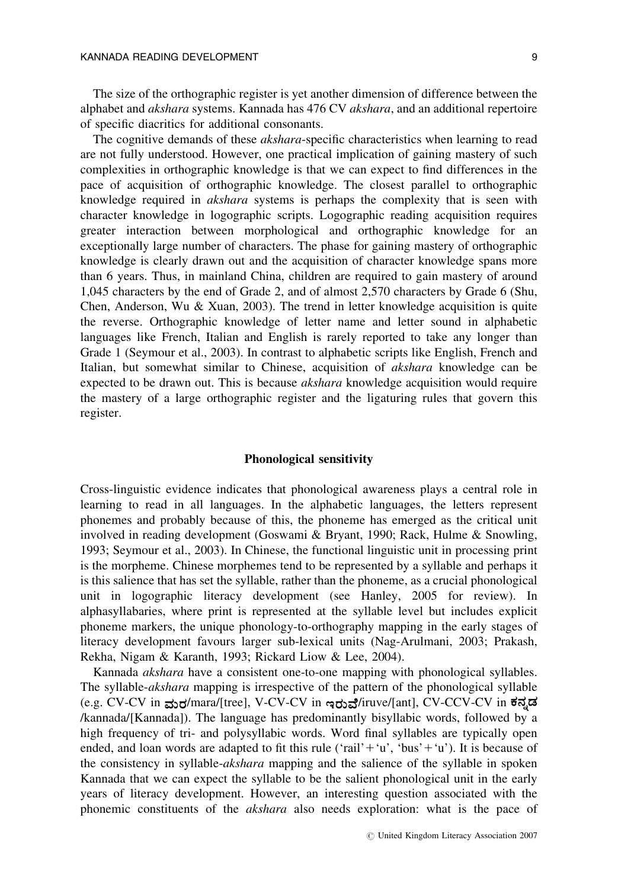The size of the orthographic register is yet another dimension of difference between the alphabet and akshara systems. Kannada has 476 CV akshara, and an additional repertoire of specific diacritics for additional consonants.

The cognitive demands of these *akshara*-specific characteristics when learning to read are not fully understood. However, one practical implication of gaining mastery of such complexities in orthographic knowledge is that we can expect to find differences in the pace of acquisition of orthographic knowledge. The closest parallel to orthographic knowledge required in akshara systems is perhaps the complexity that is seen with character knowledge in logographic scripts. Logographic reading acquisition requires greater interaction between morphological and orthographic knowledge for an exceptionally large number of characters. The phase for gaining mastery of orthographic knowledge is clearly drawn out and the acquisition of character knowledge spans more than 6 years. Thus, in mainland China, children are required to gain mastery of around 1,045 characters by the end of Grade 2, and of almost 2,570 characters by Grade 6 (Shu, Chen, Anderson, Wu & Xuan, 2003). The trend in letter knowledge acquisition is quite the reverse. Orthographic knowledge of letter name and letter sound in alphabetic languages like French, Italian and English is rarely reported to take any longer than Grade 1 (Seymour et al., 2003). In contrast to alphabetic scripts like English, French and Italian, but somewhat similar to Chinese, acquisition of akshara knowledge can be expected to be drawn out. This is because *akshara* knowledge acquisition would require the mastery of a large orthographic register and the ligaturing rules that govern this register.

# Phonological sensitivity

Cross-linguistic evidence indicates that phonological awareness plays a central role in learning to read in all languages. In the alphabetic languages, the letters represent phonemes and probably because of this, the phoneme has emerged as the critical unit involved in reading development (Goswami & Bryant, 1990; Rack, Hulme & Snowling, 1993; Seymour et al., 2003). In Chinese, the functional linguistic unit in processing print is the morpheme. Chinese morphemes tend to be represented by a syllable and perhaps it is this salience that has set the syllable, rather than the phoneme, as a crucial phonological unit in logographic literacy development (see Hanley, 2005 for review). In alphasyllabaries, where print is represented at the syllable level but includes explicit phoneme markers, the unique phonology-to-orthography mapping in the early stages of literacy development favours larger sub-lexical units (Nag-Arulmani, 2003; Prakash, Rekha, Nigam & Karanth, 1993; Rickard Liow & Lee, 2004).

Kannada akshara have a consistent one-to-one mapping with phonological syllables. The syllable-*akshara* mapping is irrespective of the pattern of the phonological syllable (e.g. CV-CV in ಮರ/mara/[tree], V-CV-CV in ಇರುವೆ/iruve/[ant], CV-CCV-CV in ಕನ್ನಡ /kannada/[Kannada]). The language has predominantly bisyllabic words, followed by a high frequency of tri- and polysyllabic words. Word final syllables are typically open ended, and loan words are adapted to fit this rule ('rail' $+iu'$ , 'bus' $+iu'$ ). It is because of the consistency in syllable-akshara mapping and the salience of the syllable in spoken Kannada that we can expect the syllable to be the salient phonological unit in the early years of literacy development. However, an interesting question associated with the phonemic constituents of the akshara also needs exploration: what is the pace of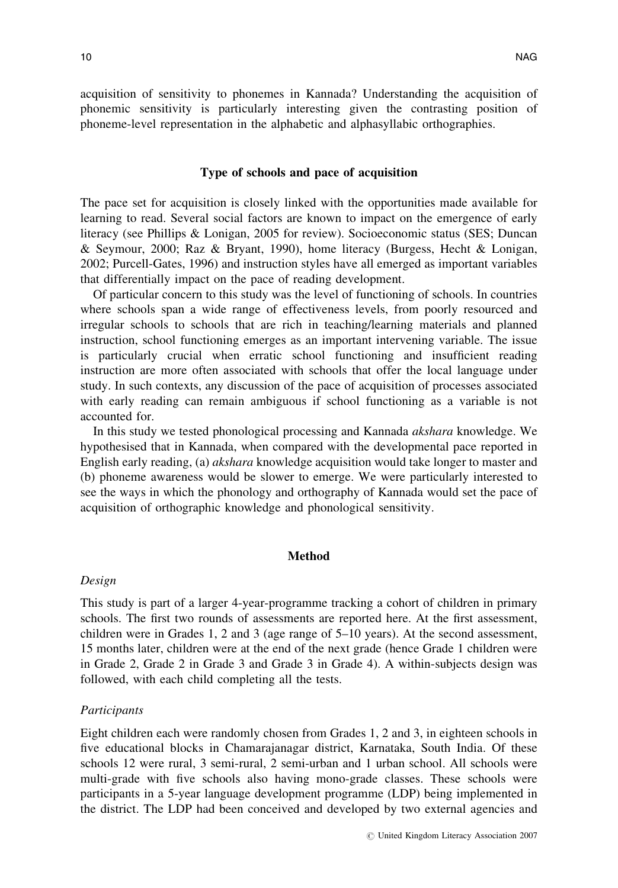acquisition of sensitivity to phonemes in Kannada? Understanding the acquisition of phonemic sensitivity is particularly interesting given the contrasting position of phoneme-level representation in the alphabetic and alphasyllabic orthographies.

# Type of schools and pace of acquisition

The pace set for acquisition is closely linked with the opportunities made available for learning to read. Several social factors are known to impact on the emergence of early literacy (see Phillips & Lonigan, 2005 for review). Socioeconomic status (SES; Duncan & Seymour, 2000; Raz & Bryant, 1990), home literacy (Burgess, Hecht & Lonigan, 2002; Purcell-Gates, 1996) and instruction styles have all emerged as important variables that differentially impact on the pace of reading development.

Of particular concern to this study was the level of functioning of schools. In countries where schools span a wide range of effectiveness levels, from poorly resourced and irregular schools to schools that are rich in teaching/learning materials and planned instruction, school functioning emerges as an important intervening variable. The issue is particularly crucial when erratic school functioning and insufficient reading instruction are more often associated with schools that offer the local language under study. In such contexts, any discussion of the pace of acquisition of processes associated with early reading can remain ambiguous if school functioning as a variable is not accounted for.

In this study we tested phonological processing and Kannada akshara knowledge. We hypothesised that in Kannada, when compared with the developmental pace reported in English early reading, (a) akshara knowledge acquisition would take longer to master and (b) phoneme awareness would be slower to emerge. We were particularly interested to see the ways in which the phonology and orthography of Kannada would set the pace of acquisition of orthographic knowledge and phonological sensitivity.

## Method

## Design

This study is part of a larger 4-year-programme tracking a cohort of children in primary schools. The first two rounds of assessments are reported here. At the first assessment, children were in Grades 1, 2 and 3 (age range of 5–10 years). At the second assessment, 15 months later, children were at the end of the next grade (hence Grade 1 children were in Grade 2, Grade 2 in Grade 3 and Grade 3 in Grade 4). A within-subjects design was followed, with each child completing all the tests.

## Participants

Eight children each were randomly chosen from Grades 1, 2 and 3, in eighteen schools in five educational blocks in Chamarajanagar district, Karnataka, South India. Of these schools 12 were rural, 3 semi-rural, 2 semi-urban and 1 urban school. All schools were multi-grade with five schools also having mono-grade classes. These schools were participants in a 5-year language development programme (LDP) being implemented in the district. The LDP had been conceived and developed by two external agencies and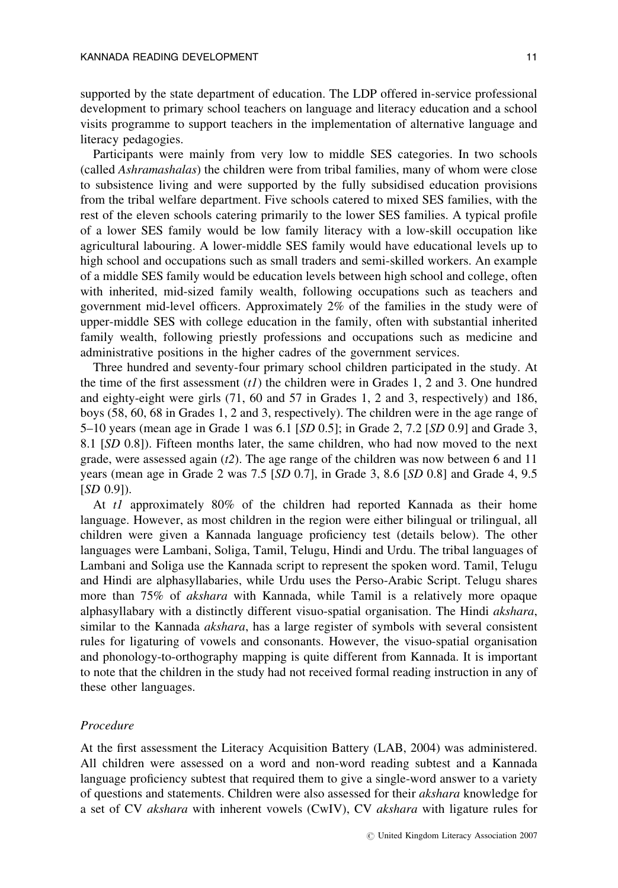supported by the state department of education. The LDP offered in-service professional development to primary school teachers on language and literacy education and a school visits programme to support teachers in the implementation of alternative language and literacy pedagogies.

Participants were mainly from very low to middle SES categories. In two schools (called Ashramashalas) the children were from tribal families, many of whom were close to subsistence living and were supported by the fully subsidised education provisions from the tribal welfare department. Five schools catered to mixed SES families, with the rest of the eleven schools catering primarily to the lower SES families. A typical profile of a lower SES family would be low family literacy with a low-skill occupation like agricultural labouring. A lower-middle SES family would have educational levels up to high school and occupations such as small traders and semi-skilled workers. An example of a middle SES family would be education levels between high school and college, often with inherited, mid-sized family wealth, following occupations such as teachers and government mid-level officers. Approximately 2% of the families in the study were of upper-middle SES with college education in the family, often with substantial inherited family wealth, following priestly professions and occupations such as medicine and administrative positions in the higher cadres of the government services.

Three hundred and seventy-four primary school children participated in the study. At the time of the first assessment  $(tI)$  the children were in Grades 1, 2 and 3. One hundred and eighty-eight were girls (71, 60 and 57 in Grades 1, 2 and 3, respectively) and 186, boys (58, 60, 68 in Grades 1, 2 and 3, respectively). The children were in the age range of 5–10 years (mean age in Grade 1 was 6.1 [SD 0.5]; in Grade 2, 7.2 [SD 0.9] and Grade 3, 8.1 [SD 0.8]). Fifteen months later, the same children, who had now moved to the next grade, were assessed again  $(t2)$ . The age range of the children was now between 6 and 11 years (mean age in Grade 2 was 7.5 [SD 0.7], in Grade 3, 8.6 [SD 0.8] and Grade 4, 9.5  $[SD 0.9]$ ).

At t1 approximately 80% of the children had reported Kannada as their home language. However, as most children in the region were either bilingual or trilingual, all children were given a Kannada language proficiency test (details below). The other languages were Lambani, Soliga, Tamil, Telugu, Hindi and Urdu. The tribal languages of Lambani and Soliga use the Kannada script to represent the spoken word. Tamil, Telugu and Hindi are alphasyllabaries, while Urdu uses the Perso-Arabic Script. Telugu shares more than 75% of akshara with Kannada, while Tamil is a relatively more opaque alphasyllabary with a distinctly different visuo-spatial organisation. The Hindi akshara, similar to the Kannada *akshara*, has a large register of symbols with several consistent rules for ligaturing of vowels and consonants. However, the visuo-spatial organisation and phonology-to-orthography mapping is quite different from Kannada. It is important to note that the children in the study had not received formal reading instruction in any of these other languages.

# Procedure

At the first assessment the Literacy Acquisition Battery (LAB, 2004) was administered. All children were assessed on a word and non-word reading subtest and a Kannada language proficiency subtest that required them to give a single-word answer to a variety of questions and statements. Children were also assessed for their akshara knowledge for a set of CV akshara with inherent vowels (CwIV), CV akshara with ligature rules for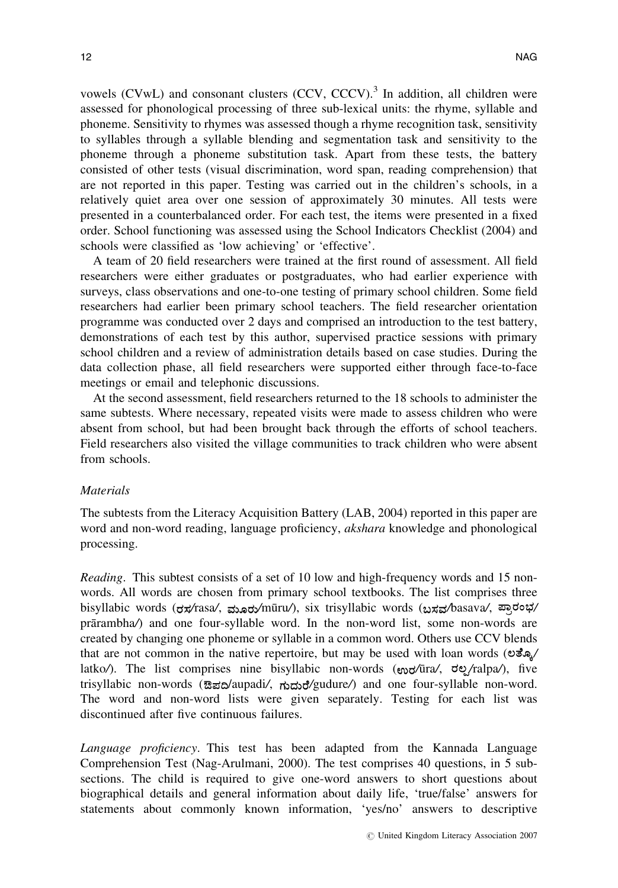vowels  $(CVwL)$  and consonant clusters  $(CCV, CCCV)$ .<sup>3</sup> In addition, all children were assessed for phonological processing of three sub-lexical units: the rhyme, syllable and phoneme. Sensitivity to rhymes was assessed though a rhyme recognition task, sensitivity to syllables through a syllable blending and segmentation task and sensitivity to the phoneme through a phoneme substitution task. Apart from these tests, the battery consisted of other tests (visual discrimination, word span, reading comprehension) that are not reported in this paper. Testing was carried out in the children's schools, in a relatively quiet area over one session of approximately 30 minutes. All tests were presented in a counterbalanced order. For each test, the items were presented in a fixed order. School functioning was assessed using the School Indicators Checklist (2004) and schools were classified as 'low achieving' or 'effective'.

A team of 20 field researchers were trained at the first round of assessment. All field researchers were either graduates or postgraduates, who had earlier experience with surveys, class observations and one-to-one testing of primary school children. Some field researchers had earlier been primary school teachers. The field researcher orientation programme was conducted over 2 days and comprised an introduction to the test battery, demonstrations of each test by this author, supervised practice sessions with primary school children and a review of administration details based on case studies. During the data collection phase, all field researchers were supported either through face-to-face meetings or email and telephonic discussions.

At the second assessment, field researchers returned to the 18 schools to administer the same subtests. Where necessary, repeated visits were made to assess children who were absent from school, but had been brought back through the efforts of school teachers. Field researchers also visited the village communities to track children who were absent from schools.

# **Materials**

The subtests from the Literacy Acquisition Battery (LAB, 2004) reported in this paper are word and non-word reading, language proficiency, akshara knowledge and phonological processing.

Reading. This subtest consists of a set of 10 low and high-frequency words and 15 nonwords. All words are chosen from primary school textbooks. The list comprises three bisyllabic words (dx/rasa/, ಮೂರು/mūru/), six trisyllabic words (uxa/basava/, angoot/ pra¯rambha/) and one four-syllable word. In the non-word list, some non-words are created by changing one phoneme or syllable in a common word. Others use CCV blends that are not common in the native repertoire, but may be used with loan words ( $\mathcal{C}\mathcal{Z}\mathcal{A}$ ) latko/). The list comprises nine bisyllabic non-words ( $\omega \sigma / \bar{u}$ ra/,  $\sigma \omega / \pi$ alpa/), five trisyllabic non-words ( කිස්ක/aupadi/, rocad dygudure/) and one four-syllable non-word. The word and non-word lists were given separately. Testing for each list was discontinued after five continuous failures.

Language proficiency. This test has been adapted from the Kannada Language Comprehension Test (Nag-Arulmani, 2000). The test comprises 40 questions, in 5 subsections. The child is required to give one-word answers to short questions about biographical details and general information about daily life, 'true/false' answers for statements about commonly known information, 'yes/no' answers to descriptive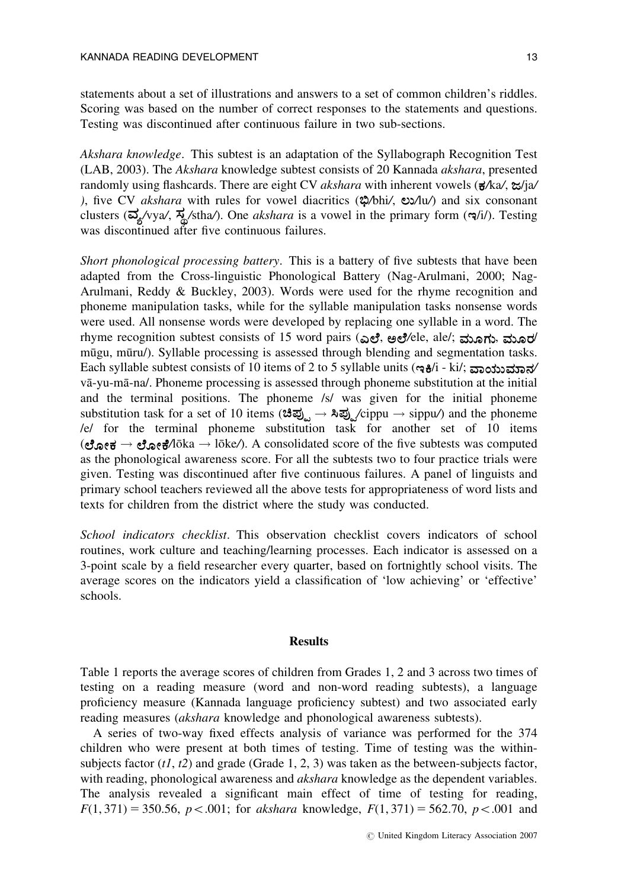statements about a set of illustrations and answers to a set of common children's riddles. Scoring was based on the number of correct responses to the statements and questions. Testing was discontinued after continuous failure in two sub-sections.

Akshara knowledge. This subtest is an adaptation of the Syllabograph Recognition Test (LAB, 2003). The Akshara knowledge subtest consists of 20 Kannada akshara, presented randomly using flashcards. There are eight CV *akshara* with inherent vowels  $(\frac{1}{6}A\alpha)$ ,  $\frac{1}{6}A\alpha$ ), five CV akshara with rules for vowel diacritics ( $\frac{2}{\omega}$ bhi/,  $\frac{2}{\omega}$ lu/) and six consonant clusters ( $\overline{\omega}_x$ /vya/,  $\overline{\omega}_y$ /stha/). One *akshara* is a vowel in the primary form (•(1*i*). Testing was discontinued after five continuous failures.

Short phonological processing battery. This is a battery of five subtests that have been adapted from the Cross-linguistic Phonological Battery (Nag-Arulmani, 2000; Nag-Arulmani, Reddy & Buckley, 2003). Words were used for the rhyme recognition and phoneme manipulation tasks, while for the syllable manipulation tasks nonsense words were used. All nonsense words were developed by replacing one syllable in a word. The rhyme recognition subtest consists of 15 word pairs (ಎಲೆ, ಅಲೆ/ele, ale/; ಮೂಗು, ಮೂರ/ mugu, muru/). Syllable processing is assessed through blending and segmentation tasks. Each syllable subtest consists of 10 items of 2 to 5 syllable units ( $\approx 8/1$  - ki/;  $\approx 0.03$ va¯-yu-ma¯-na/. Phoneme processing is assessed through phoneme substitution at the initial and the terminal positions. The phoneme /s/ was given for the initial phoneme substitution task for a set of 10 items  $(33\frac{1}{2}) \rightarrow 3\frac{1}{2}$  /cippu  $\rightarrow$  sippu/) and the phoneme /e/ for the terminal phoneme substitution task for another set of 10 items  $\Theta$  ( $\partial \Omega \to \partial \Omega$ ) ( $\partial \Omega$   $\to \partial \Omega$ ). A consolidated score of the five subtests was computed as the phonological awareness score. For all the subtests two to four practice trials were given. Testing was discontinued after five continuous failures. A panel of linguists and primary school teachers reviewed all the above tests for appropriateness of word lists and texts for children from the district where the study was conducted.

School indicators checklist. This observation checklist covers indicators of school routines, work culture and teaching/learning processes. Each indicator is assessed on a 3-point scale by a field researcher every quarter, based on fortnightly school visits. The average scores on the indicators yield a classification of 'low achieving' or 'effective' schools.

#### Results

Table 1 reports the average scores of children from Grades 1, 2 and 3 across two times of testing on a reading measure (word and non-word reading subtests), a language proficiency measure (Kannada language proficiency subtest) and two associated early reading measures *(akshara* knowledge and phonological awareness subtests).

A series of two-way fixed effects analysis of variance was performed for the 374 children who were present at both times of testing. Time of testing was the withinsubjects factor  $(t1, t2)$  and grade (Grade 1, 2, 3) was taken as the between-subjects factor, with reading, phonological awareness and *akshara* knowledge as the dependent variables. The analysis revealed a significant main effect of time of testing for reading,  $F(1, 371) = 350.56$ ,  $p < .001$ ; for *akshara* knowledge,  $F(1, 371) = 562.70$ ,  $p < .001$  and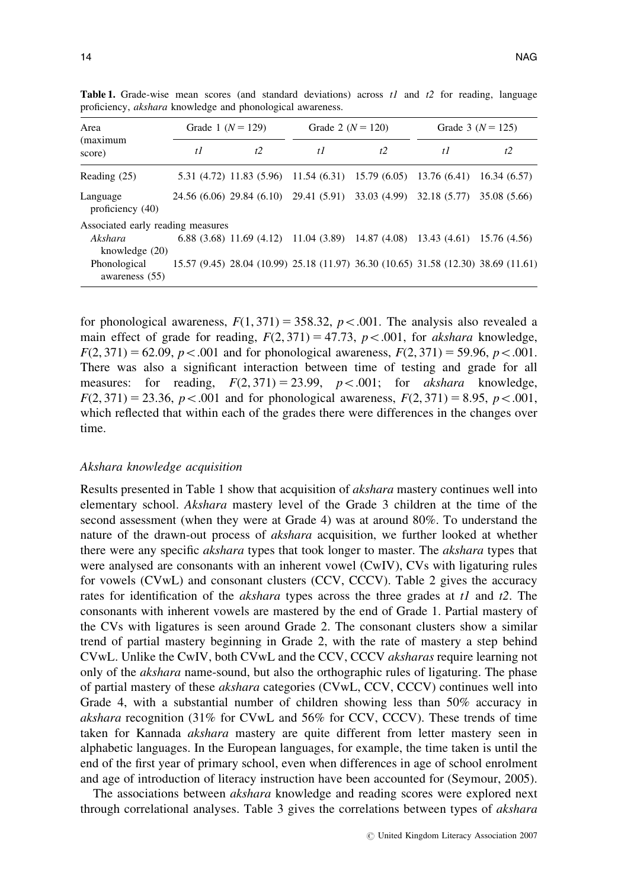| Area<br>(maximum<br>score)        | Grade 1 ( $N = 129$ ) |    | Grade 2 $(N = 120)$                                                                |    | Grade 3 ( $N = 125$ ) |              |  |
|-----------------------------------|-----------------------|----|------------------------------------------------------------------------------------|----|-----------------------|--------------|--|
|                                   | t l                   | t2 | t 1                                                                                | t2 | t I                   | t2           |  |
| Reading $(25)$                    |                       |    | 5.31 (4.72) 11.83 (5.96) 11.54 (6.31) 15.79 (6.05) 13.76 (6.41)                    |    |                       | 16.34 (6.57) |  |
| Language<br>proficiency $(40)$    |                       |    | 24.56 (6.06) 29.84 (6.10) 29.41 (5.91) 33.03 (4.99) 32.18 (5.77)                   |    |                       | 35.08 (5.66) |  |
| Associated early reading measures |                       |    |                                                                                    |    |                       |              |  |
| Akshara<br>knowledge $(20)$       |                       |    | 6.88 (3.68) 11.69 (4.12) 11.04 (3.89) 14.87 (4.08) 13.43 (4.61) 15.76 (4.56)       |    |                       |              |  |
| Phonological<br>awareness (55)    |                       |    | 15.57 (9.45) 28.04 (10.99) 25.18 (11.97) 36.30 (10.65) 31.58 (12.30) 38.69 (11.61) |    |                       |              |  |

**Table 1.** Grade-wise mean scores (and standard deviations) across t1 and t2 for reading, language proficiency, akshara knowledge and phonological awareness.

for phonological awareness,  $F(1, 371) = 358.32$ ,  $p < .001$ . The analysis also revealed a main effect of grade for reading,  $F(2, 371) = 47.73$ ,  $p < .001$ , for *akshara* knowledge,  $F(2, 371) = 62.09$ ,  $p < .001$  and for phonological awareness,  $F(2, 371) = 59.96$ ,  $p < .001$ . There was also a significant interaction between time of testing and grade for all measures: for reading,  $F(2, 371) = 23.99$ ,  $p < .001$ ; for *akshara* knowledge,  $F(2, 371) = 23.36$ ,  $p < .001$  and for phonological awareness,  $F(2, 371) = 8.95$ ,  $p < .001$ , which reflected that within each of the grades there were differences in the changes over time.

## Akshara knowledge acquisition

Results presented in Table 1 show that acquisition of akshara mastery continues well into elementary school. Akshara mastery level of the Grade 3 children at the time of the second assessment (when they were at Grade 4) was at around 80%. To understand the nature of the drawn-out process of akshara acquisition, we further looked at whether there were any specific *akshara* types that took longer to master. The *akshara* types that were analysed are consonants with an inherent vowel (CwIV), CVs with ligaturing rules for vowels (CVwL) and consonant clusters (CCV, CCCV). Table 2 gives the accuracy rates for identification of the *akshara* types across the three grades at t1 and t2. The consonants with inherent vowels are mastered by the end of Grade 1. Partial mastery of the CVs with ligatures is seen around Grade 2. The consonant clusters show a similar trend of partial mastery beginning in Grade 2, with the rate of mastery a step behind CVwL. Unlike the CwIV, both CVwL and the CCV, CCCV aksharas require learning not only of the *akshara* name-sound, but also the orthographic rules of ligaturing. The phase of partial mastery of these akshara categories (CVwL, CCV, CCCV) continues well into Grade 4, with a substantial number of children showing less than 50% accuracy in akshara recognition (31% for CVwL and 56% for CCV, CCCV). These trends of time taken for Kannada *akshara* mastery are quite different from letter mastery seen in alphabetic languages. In the European languages, for example, the time taken is until the end of the first year of primary school, even when differences in age of school enrolment and age of introduction of literacy instruction have been accounted for (Seymour, 2005).

The associations between akshara knowledge and reading scores were explored next through correlational analyses. Table 3 gives the correlations between types of *akshara*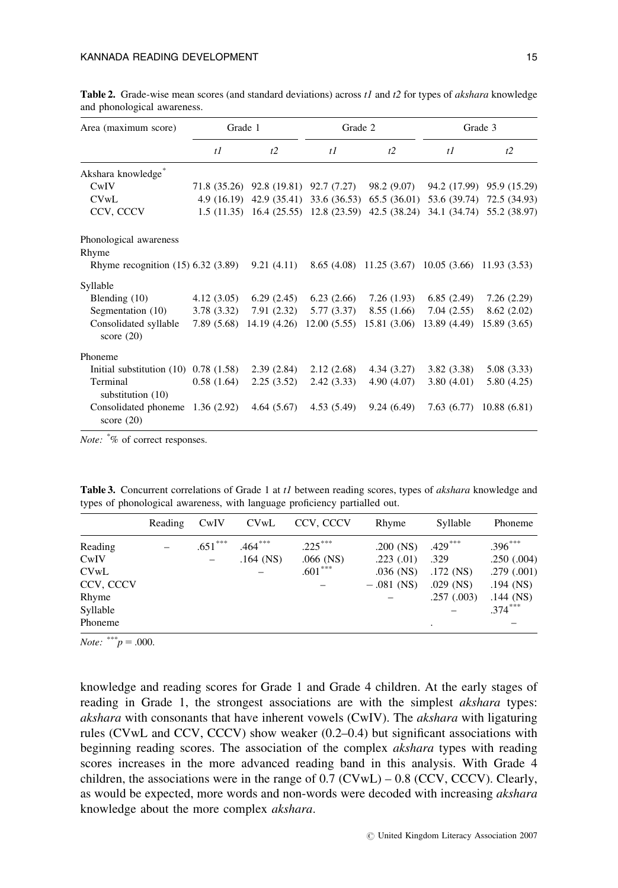| Area (maximum score)                      | Grade 1    |                           | Grade 2                                  |                                                    | Grade 3      |              |  |
|-------------------------------------------|------------|---------------------------|------------------------------------------|----------------------------------------------------|--------------|--------------|--|
|                                           | $t\bar{l}$ | t2                        | $t\bar{l}$                               | t2                                                 | $t\bar{l}$   | t2           |  |
| Akshara knowledge*                        |            |                           |                                          |                                                    |              |              |  |
| CwIV                                      |            | 71.8 (35.26) 92.8 (19.81) | 92.7 (7.27)                              | 98.2 (9.07)                                        | 94.2 (17.99) | 95.9 (15.29) |  |
| <b>CVwL</b>                               | 4.9(16.19) | 42.9 (35.41)              | 33.6 (36.53)                             | 65.5(36.01)                                        | 53.6 (39.74) | 72.5 (34.93) |  |
| CCV, CCCV                                 |            |                           | $1.5(11.35)$ $16.4(25.55)$ $12.8(23.59)$ | 42.5 (38.24)                                       | 34.1 (34.74) | 55.2 (38.97) |  |
| Phonological awareness<br>Rhyme           |            |                           |                                          |                                                    |              |              |  |
| Rhyme recognition $(15)$ 6.32 $(3.89)$    |            | 9.21(4.11)                |                                          | 8.65 (4.08) 11.25 (3.67) 10.05 (3.66) 11.93 (3.53) |              |              |  |
| Syllable                                  |            |                           |                                          |                                                    |              |              |  |
| Blending $(10)$                           | 4.12(3.05) | 6.29(2.45)                | 6.23(2.66)                               | 7.26(1.93)                                         | 6.85(2.49)   | 7.26(2.29)   |  |
| Segmentation (10)                         | 3.78(3.32) | 7.91(2.32)                | 5.77(3.37)                               | 8.55(1.66)                                         | 7.04(2.55)   | 8.62(2.02)   |  |
| Consolidated syllable<br>score $(20)$     | 7.89(5.68) | 14.19(4.26)               | 12.00(5.55)                              | 15.81 (3.06)                                       | 13.89 (4.49) | 15.89 (3.65) |  |
| Phoneme                                   |            |                           |                                          |                                                    |              |              |  |
| Initial substitution $(10)$ 0.78 $(1.58)$ |            | 2.39(2.84)                | 2.12(2.68)                               | 4.34(3.27)                                         | 3.82(3.38)   | 5.08(3.33)   |  |
| Terminal<br>substitution (10)             | 0.58(1.64) | 2.25(3.52)                | 2.42(3.33)                               | 4.90(4.07)                                         | 3.80(4.01)   | 5.80 (4.25)  |  |
| Consolidated phoneme<br>score $(20)$      | 1.36(2.92) | 4.64(5.67)                | 4.53 (5.49)                              | 9.24(6.49)                                         | 7.63(6.77)   | 10.88(6.81)  |  |

**Table 2.** Grade-wise mean scores (and standard deviations) across t1 and t2 for types of *akshara* knowledge and phonological awareness.

Note:  $\sqrt[*]{\infty}$  of correct responses.

Table 3. Concurrent correlations of Grade 1 at t1 between reading scores, types of *akshara* knowledge and types of phonological awareness, with language proficiency partialled out.

|             | Reading | CwIV            | CVwL        | CCV, CCCV   | Rhyme        | Syllable    | Phoneme     |
|-------------|---------|-----------------|-------------|-------------|--------------|-------------|-------------|
| Reading     |         | ***<br>.651     | $.464***$   | $.225***$   | $.200$ (NS)  | $.429***$   | $.396***$   |
| CwIV        |         | $\qquad \qquad$ | $.164$ (NS) | $.066$ (NS) | .223(.01)    | .329        | .250(.004)  |
| <b>CVwL</b> |         |                 |             | $.601***$   | $.036$ (NS)  | $.172$ (NS) | .279(.001)  |
| CCV, CCCV   |         |                 |             |             | $-.081$ (NS) | $.029$ (NS) | $.194$ (NS) |
| Rhyme       |         |                 |             |             |              | .257(.003)  | $.144$ (NS) |
| Syllable    |         |                 |             |             |              |             | $.374***$   |
| Phoneme     |         |                 |             |             |              | ٠           |             |

*Note*:  $\stackrel{***}{p} = .000$ .

knowledge and reading scores for Grade 1 and Grade 4 children. At the early stages of reading in Grade 1, the strongest associations are with the simplest *akshara* types: akshara with consonants that have inherent vowels (CwIV). The akshara with ligaturing rules (CVwL and CCV, CCCV) show weaker (0.2–0.4) but significant associations with beginning reading scores. The association of the complex *akshara* types with reading scores increases in the more advanced reading band in this analysis. With Grade 4 children, the associations were in the range of  $0.7$  (CVwL) –  $0.8$  (CCV, CCCV). Clearly, as would be expected, more words and non-words were decoded with increasing *akshara* knowledge about the more complex akshara.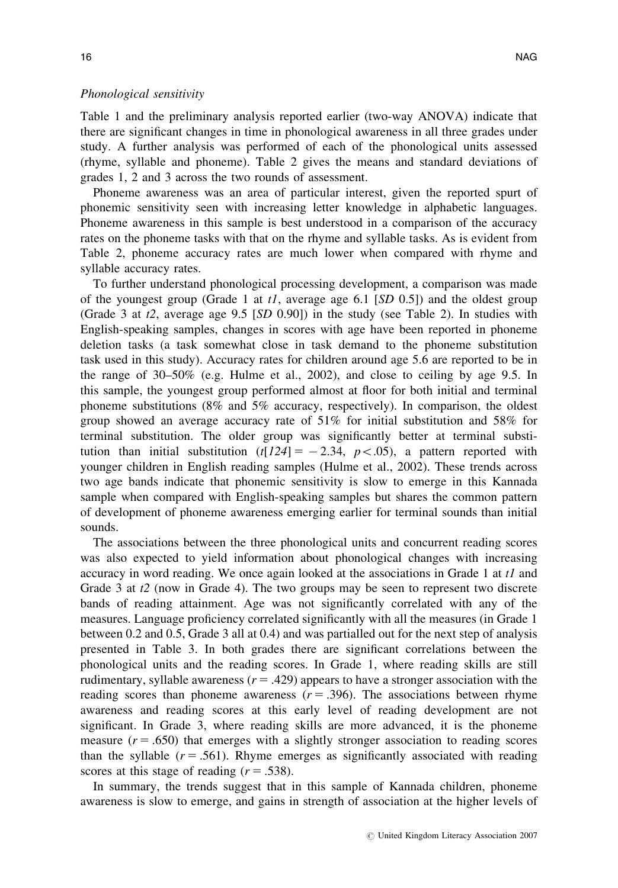#### Phonological sensitivity

Table 1 and the preliminary analysis reported earlier (two-way ANOVA) indicate that there are significant changes in time in phonological awareness in all three grades under study. A further analysis was performed of each of the phonological units assessed (rhyme, syllable and phoneme). Table 2 gives the means and standard deviations of grades 1, 2 and 3 across the two rounds of assessment.

Phoneme awareness was an area of particular interest, given the reported spurt of phonemic sensitivity seen with increasing letter knowledge in alphabetic languages. Phoneme awareness in this sample is best understood in a comparison of the accuracy rates on the phoneme tasks with that on the rhyme and syllable tasks. As is evident from Table 2, phoneme accuracy rates are much lower when compared with rhyme and syllable accuracy rates.

To further understand phonological processing development, a comparison was made of the youngest group (Grade 1 at  $t\bar{t}$ , average age 6.1 [SD 0.5]) and the oldest group (Grade 3 at  $t2$ , average age 9.5 [SD 0.90]) in the study (see Table 2). In studies with English-speaking samples, changes in scores with age have been reported in phoneme deletion tasks (a task somewhat close in task demand to the phoneme substitution task used in this study). Accuracy rates for children around age 5.6 are reported to be in the range of  $30-50\%$  (e.g. Hulme et al., 2002), and close to ceiling by age 9.5. In this sample, the youngest group performed almost at floor for both initial and terminal phoneme substitutions (8% and 5% accuracy, respectively). In comparison, the oldest group showed an average accuracy rate of 51% for initial substitution and 58% for terminal substitution. The older group was significantly better at terminal substitution than initial substitution  $(t/124] = -2.34$ ,  $p < .05$ ), a pattern reported with younger children in English reading samples (Hulme et al., 2002). These trends across two age bands indicate that phonemic sensitivity is slow to emerge in this Kannada sample when compared with English-speaking samples but shares the common pattern of development of phoneme awareness emerging earlier for terminal sounds than initial sounds.

The associations between the three phonological units and concurrent reading scores was also expected to yield information about phonological changes with increasing accuracy in word reading. We once again looked at the associations in Grade 1 at t1 and Grade 3 at t2 (now in Grade 4). The two groups may be seen to represent two discrete bands of reading attainment. Age was not significantly correlated with any of the measures. Language proficiency correlated significantly with all the measures (in Grade 1 between 0.2 and 0.5, Grade 3 all at 0.4) and was partialled out for the next step of analysis presented in Table 3. In both grades there are significant correlations between the phonological units and the reading scores. In Grade 1, where reading skills are still rudimentary, syllable awareness  $(r = .429)$  appears to have a stronger association with the reading scores than phoneme awareness  $(r = .396)$ . The associations between rhyme awareness and reading scores at this early level of reading development are not significant. In Grade 3, where reading skills are more advanced, it is the phoneme measure  $(r = .650)$  that emerges with a slightly stronger association to reading scores than the syllable  $(r = .561)$ . Rhyme emerges as significantly associated with reading scores at this stage of reading  $(r = .538)$ .

In summary, the trends suggest that in this sample of Kannada children, phoneme awareness is slow to emerge, and gains in strength of association at the higher levels of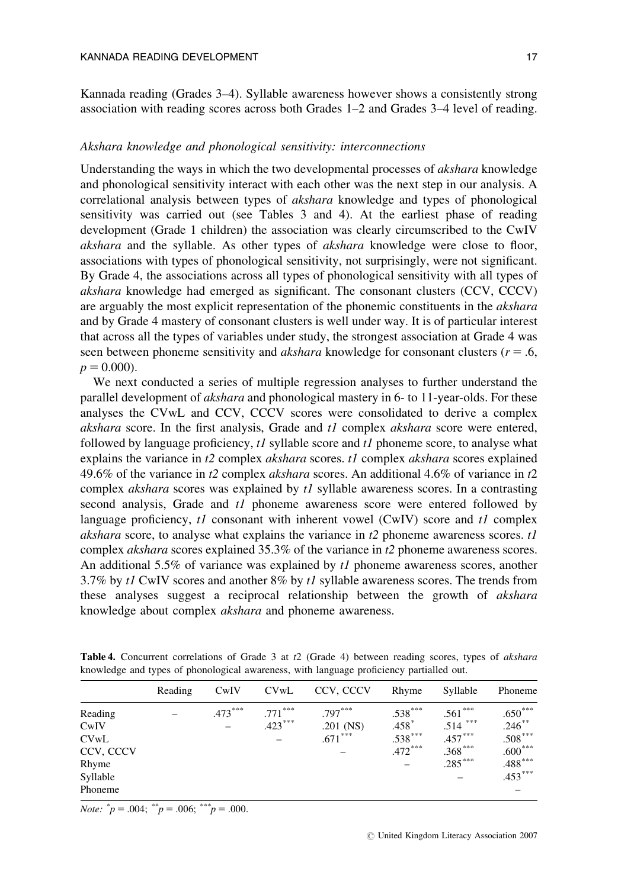Kannada reading (Grades 3–4). Syllable awareness however shows a consistently strong association with reading scores across both Grades 1–2 and Grades 3–4 level of reading.

#### Akshara knowledge and phonological sensitivity: interconnections

Understanding the ways in which the two developmental processes of akshara knowledge and phonological sensitivity interact with each other was the next step in our analysis. A correlational analysis between types of *akshara* knowledge and types of phonological sensitivity was carried out (see Tables 3 and 4). At the earliest phase of reading development (Grade 1 children) the association was clearly circumscribed to the CwIV akshara and the syllable. As other types of akshara knowledge were close to floor, associations with types of phonological sensitivity, not surprisingly, were not significant. By Grade 4, the associations across all types of phonological sensitivity with all types of akshara knowledge had emerged as significant. The consonant clusters (CCV, CCCV) are arguably the most explicit representation of the phonemic constituents in the *akshara* and by Grade 4 mastery of consonant clusters is well under way. It is of particular interest that across all the types of variables under study, the strongest association at Grade 4 was seen between phoneme sensitivity and *akshara* knowledge for consonant clusters ( $r = .6$ ,  $p = 0.000$ ).

We next conducted a series of multiple regression analyses to further understand the parallel development of *akshara* and phonological mastery in 6- to 11-year-olds. For these analyses the CVwL and CCV, CCCV scores were consolidated to derive a complex akshara score. In the first analysis, Grade and  $t1$  complex akshara score were entered, followed by language proficiency,  $t_1$  syllable score and  $t_1$  phoneme score, to analyse what explains the variance in  $t2$  complex *akshara* scores.  $t1$  complex *akshara* scores explained 49.6% of the variance in t2 complex akshara scores. An additional 4.6% of variance in t2 complex *akshara* scores was explained by  $t1$  syllable awareness scores. In a contrasting second analysis, Grade and tl phoneme awareness score were entered followed by language proficiency,  $t\ell$  consonant with inherent vowel (CwIV) score and  $t\ell$  complex *akshara* score, to analyse what explains the variance in  $t2$  phoneme awareness scores.  $t1$ complex akshara scores explained 35.3% of the variance in t2 phoneme awareness scores. An additional 5.5% of variance was explained by  $tI$  phoneme awareness scores, another 3.7% by  $t1$  CwIV scores and another 8% by  $t1$  syllable awareness scores. The trends from these analyses suggest a reciprocal relationship between the growth of *akshara* knowledge about complex akshara and phoneme awareness.

|             | Reading | CwIV      | <b>CVwL</b>              | CCV, CCCV   | Rhyme     | Syllable        | Phoneme   |
|-------------|---------|-----------|--------------------------|-------------|-----------|-----------------|-----------|
| Reading     |         | $.473***$ | $.771***$                | $.797***$   | $.538***$ | $.561***$       | $.650***$ |
| CwIV        |         | $\equiv$  | $.423***$                | $.201$ (NS) | $.458*$   | $* * *$<br>.514 | $.246***$ |
| <b>CVwL</b> |         |           | $\overline{\phantom{a}}$ | $.671***$   | $.538***$ | $.457***$       | $.508***$ |
| CCV, CCCV   |         |           |                          |             | $.472***$ | $.368***$       | $.600***$ |
| Rhyme       |         |           |                          |             | $\equiv$  | $.285***$       | $.488***$ |
| Syllable    |         |           |                          |             |           |                 | $.453***$ |
| Phoneme     |         |           |                          |             |           |                 |           |

Table 4. Concurrent correlations of Grade 3 at t2 (Grade 4) between reading scores, types of *akshara* knowledge and types of phonological awareness, with language proficiency partialled out.

*Note:*  $^*p = .004$ ;  $^{**}p = .006$ ;  $^{***}p = .000$ .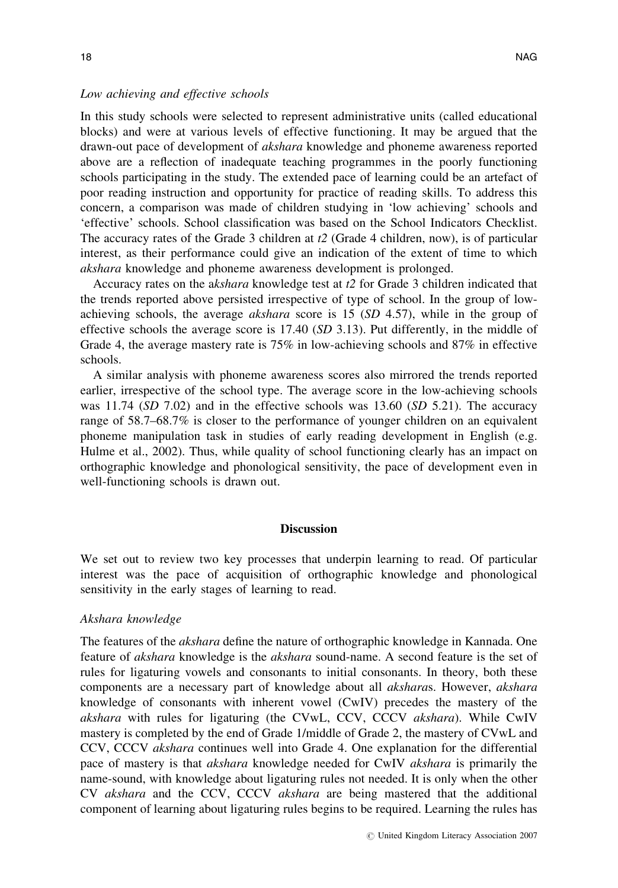## Low achieving and effective schools

In this study schools were selected to represent administrative units (called educational blocks) and were at various levels of effective functioning. It may be argued that the drawn-out pace of development of akshara knowledge and phoneme awareness reported above are a reflection of inadequate teaching programmes in the poorly functioning schools participating in the study. The extended pace of learning could be an artefact of poor reading instruction and opportunity for practice of reading skills. To address this concern, a comparison was made of children studying in 'low achieving' schools and 'effective' schools. School classification was based on the School Indicators Checklist. The accuracy rates of the Grade 3 children at  $t2$  (Grade 4 children, now), is of particular interest, as their performance could give an indication of the extent of time to which akshara knowledge and phoneme awareness development is prolonged.

Accuracy rates on the akshara knowledge test at t2 for Grade 3 children indicated that the trends reported above persisted irrespective of type of school. In the group of lowachieving schools, the average akshara score is 15 (SD 4.57), while in the group of effective schools the average score is 17.40 (SD 3.13). Put differently, in the middle of Grade 4, the average mastery rate is 75% in low-achieving schools and 87% in effective schools.

A similar analysis with phoneme awareness scores also mirrored the trends reported earlier, irrespective of the school type. The average score in the low-achieving schools was 11.74 (SD 7.02) and in the effective schools was 13.60 (SD 5.21). The accuracy range of 58.7–68.7% is closer to the performance of younger children on an equivalent phoneme manipulation task in studies of early reading development in English (e.g. Hulme et al., 2002). Thus, while quality of school functioning clearly has an impact on orthographic knowledge and phonological sensitivity, the pace of development even in well-functioning schools is drawn out.

# **Discussion**

We set out to review two key processes that underpin learning to read. Of particular interest was the pace of acquisition of orthographic knowledge and phonological sensitivity in the early stages of learning to read.

## Akshara knowledge

The features of the *akshara* define the nature of orthographic knowledge in Kannada. One feature of akshara knowledge is the akshara sound-name. A second feature is the set of rules for ligaturing vowels and consonants to initial consonants. In theory, both these components are a necessary part of knowledge about all *aksharas*. However, *akshara* knowledge of consonants with inherent vowel (CwIV) precedes the mastery of the akshara with rules for ligaturing (the CVwL, CCV, CCCV akshara). While CwIV mastery is completed by the end of Grade 1/middle of Grade 2, the mastery of CVwL and CCV, CCCV akshara continues well into Grade 4. One explanation for the differential pace of mastery is that *akshara* knowledge needed for CwIV *akshara* is primarily the name-sound, with knowledge about ligaturing rules not needed. It is only when the other CV akshara and the CCV, CCCV akshara are being mastered that the additional component of learning about ligaturing rules begins to be required. Learning the rules has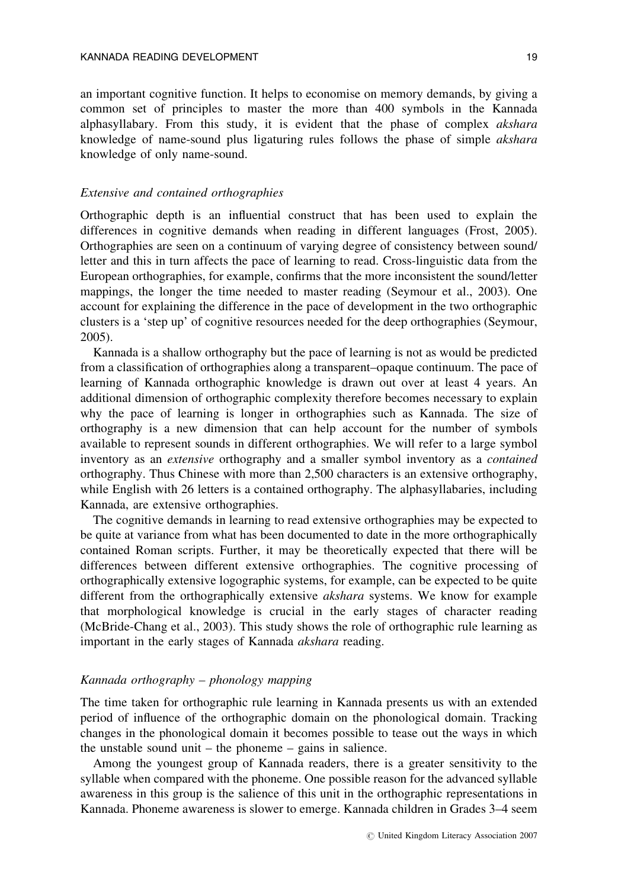an important cognitive function. It helps to economise on memory demands, by giving a common set of principles to master the more than 400 symbols in the Kannada alphasyllabary. From this study, it is evident that the phase of complex *akshara* knowledge of name-sound plus ligaturing rules follows the phase of simple akshara knowledge of only name-sound.

# Extensive and contained orthographies

Orthographic depth is an influential construct that has been used to explain the differences in cognitive demands when reading in different languages (Frost, 2005). Orthographies are seen on a continuum of varying degree of consistency between sound/ letter and this in turn affects the pace of learning to read. Cross-linguistic data from the European orthographies, for example, confirms that the more inconsistent the sound/letter mappings, the longer the time needed to master reading (Seymour et al., 2003). One account for explaining the difference in the pace of development in the two orthographic clusters is a 'step up' of cognitive resources needed for the deep orthographies (Seymour, 2005).

Kannada is a shallow orthography but the pace of learning is not as would be predicted from a classification of orthographies along a transparent–opaque continuum. The pace of learning of Kannada orthographic knowledge is drawn out over at least 4 years. An additional dimension of orthographic complexity therefore becomes necessary to explain why the pace of learning is longer in orthographies such as Kannada. The size of orthography is a new dimension that can help account for the number of symbols available to represent sounds in different orthographies. We will refer to a large symbol inventory as an extensive orthography and a smaller symbol inventory as a contained orthography. Thus Chinese with more than 2,500 characters is an extensive orthography, while English with 26 letters is a contained orthography. The alphasyllabaries, including Kannada, are extensive orthographies.

The cognitive demands in learning to read extensive orthographies may be expected to be quite at variance from what has been documented to date in the more orthographically contained Roman scripts. Further, it may be theoretically expected that there will be differences between different extensive orthographies. The cognitive processing of orthographically extensive logographic systems, for example, can be expected to be quite different from the orthographically extensive *akshara* systems. We know for example that morphological knowledge is crucial in the early stages of character reading (McBride-Chang et al., 2003). This study shows the role of orthographic rule learning as important in the early stages of Kannada akshara reading.

# Kannada orthography – phonology mapping

The time taken for orthographic rule learning in Kannada presents us with an extended period of influence of the orthographic domain on the phonological domain. Tracking changes in the phonological domain it becomes possible to tease out the ways in which the unstable sound unit – the phoneme – gains in salience.

Among the youngest group of Kannada readers, there is a greater sensitivity to the syllable when compared with the phoneme. One possible reason for the advanced syllable awareness in this group is the salience of this unit in the orthographic representations in Kannada. Phoneme awareness is slower to emerge. Kannada children in Grades 3–4 seem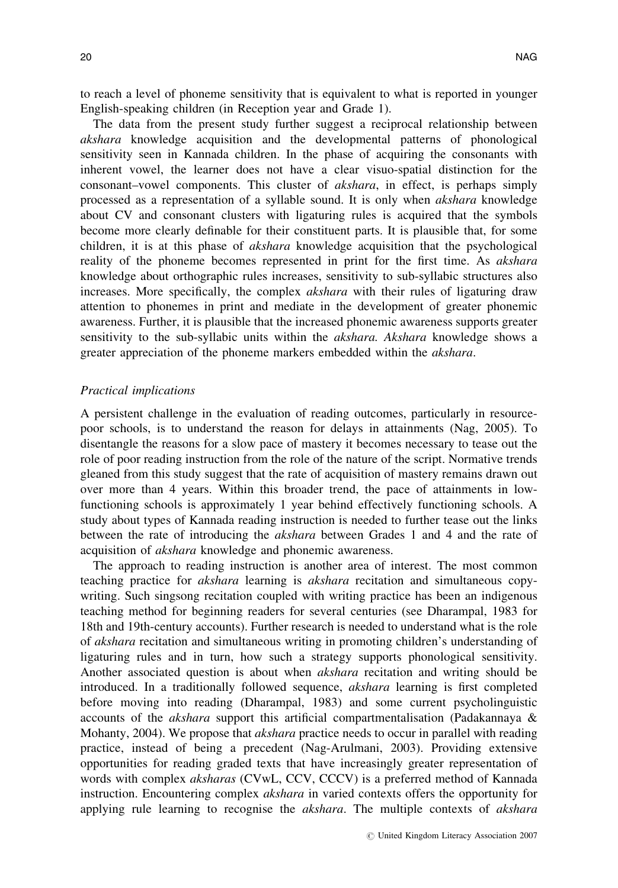to reach a level of phoneme sensitivity that is equivalent to what is reported in younger English-speaking children (in Reception year and Grade 1).

The data from the present study further suggest a reciprocal relationship between akshara knowledge acquisition and the developmental patterns of phonological sensitivity seen in Kannada children. In the phase of acquiring the consonants with inherent vowel, the learner does not have a clear visuo-spatial distinction for the consonant–vowel components. This cluster of *akshara*, in effect, is perhaps simply processed as a representation of a syllable sound. It is only when akshara knowledge about CV and consonant clusters with ligaturing rules is acquired that the symbols become more clearly definable for their constituent parts. It is plausible that, for some children, it is at this phase of akshara knowledge acquisition that the psychological reality of the phoneme becomes represented in print for the first time. As *akshara* knowledge about orthographic rules increases, sensitivity to sub-syllabic structures also increases. More specifically, the complex *akshara* with their rules of ligaturing draw attention to phonemes in print and mediate in the development of greater phonemic awareness. Further, it is plausible that the increased phonemic awareness supports greater sensitivity to the sub-syllabic units within the *akshara*. Akshara knowledge shows a greater appreciation of the phoneme markers embedded within the akshara.

# Practical implications

A persistent challenge in the evaluation of reading outcomes, particularly in resourcepoor schools, is to understand the reason for delays in attainments (Nag, 2005). To disentangle the reasons for a slow pace of mastery it becomes necessary to tease out the role of poor reading instruction from the role of the nature of the script. Normative trends gleaned from this study suggest that the rate of acquisition of mastery remains drawn out over more than 4 years. Within this broader trend, the pace of attainments in lowfunctioning schools is approximately 1 year behind effectively functioning schools. A study about types of Kannada reading instruction is needed to further tease out the links between the rate of introducing the akshara between Grades 1 and 4 and the rate of acquisition of akshara knowledge and phonemic awareness.

The approach to reading instruction is another area of interest. The most common teaching practice for akshara learning is akshara recitation and simultaneous copywriting. Such singsong recitation coupled with writing practice has been an indigenous teaching method for beginning readers for several centuries (see Dharampal, 1983 for 18th and 19th-century accounts). Further research is needed to understand what is the role of akshara recitation and simultaneous writing in promoting children's understanding of ligaturing rules and in turn, how such a strategy supports phonological sensitivity. Another associated question is about when akshara recitation and writing should be introduced. In a traditionally followed sequence, akshara learning is first completed before moving into reading (Dharampal, 1983) and some current psycholinguistic accounts of the akshara support this artificial compartmentalisation (Padakannaya & Mohanty, 2004). We propose that *akshara* practice needs to occur in parallel with reading practice, instead of being a precedent (Nag-Arulmani, 2003). Providing extensive opportunities for reading graded texts that have increasingly greater representation of words with complex aksharas (CVwL, CCV, CCCV) is a preferred method of Kannada instruction. Encountering complex *akshara* in varied contexts offers the opportunity for applying rule learning to recognise the *akshara*. The multiple contexts of *akshara*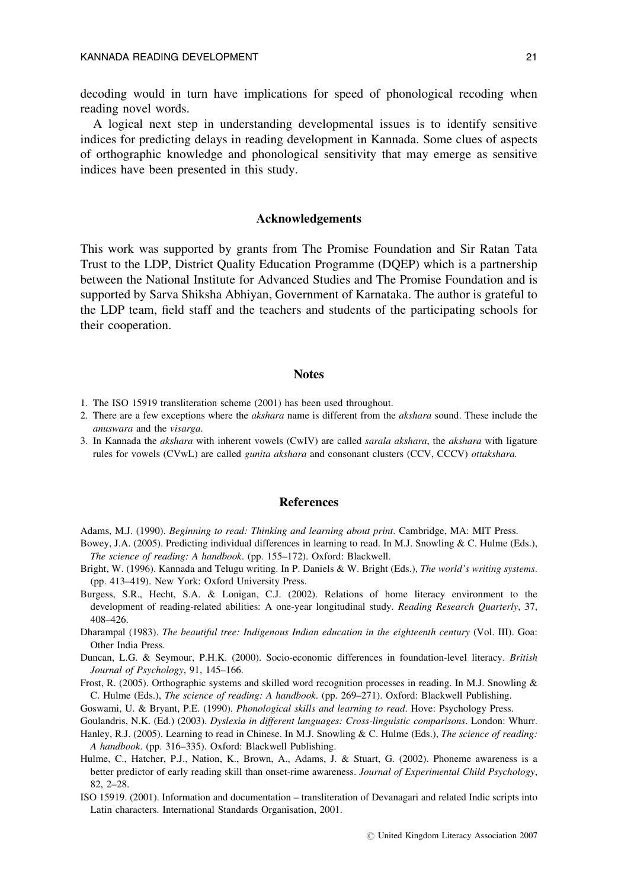decoding would in turn have implications for speed of phonological recoding when reading novel words.

A logical next step in understanding developmental issues is to identify sensitive indices for predicting delays in reading development in Kannada. Some clues of aspects of orthographic knowledge and phonological sensitivity that may emerge as sensitive indices have been presented in this study.

## Acknowledgements

This work was supported by grants from The Promise Foundation and Sir Ratan Tata Trust to the LDP, District Quality Education Programme (DQEP) which is a partnership between the National Institute for Advanced Studies and The Promise Foundation and is supported by Sarva Shiksha Abhiyan, Government of Karnataka. The author is grateful to the LDP team, field staff and the teachers and students of the participating schools for their cooperation.

## **Notes**

- 1. The ISO 15919 transliteration scheme (2001) has been used throughout.
- 2. There are a few exceptions where the *akshara* name is different from the *akshara* sound. These include the anuswara and the visarga.
- 3. In Kannada the *akshara* with inherent vowels (CwIV) are called *sarala akshara*, the *akshara* with ligature rules for vowels (CVwL) are called gunita akshara and consonant clusters (CCV, CCCV) ottakshara.

## References

Adams, M.J. (1990). Beginning to read: Thinking and learning about print. Cambridge, MA: MIT Press.

- Bowey, J.A. (2005). Predicting individual differences in learning to read. In M.J. Snowling & C. Hulme (Eds.), The science of reading: A handbook. (pp. 155–172). Oxford: Blackwell.
- Bright, W. (1996). Kannada and Telugu writing. In P. Daniels & W. Bright (Eds.), The world's writing systems. (pp. 413–419). New York: Oxford University Press.
- Burgess, S.R., Hecht, S.A. & Lonigan, C.J. (2002). Relations of home literacy environment to the development of reading-related abilities: A one-year longitudinal study. Reading Research Quarterly, 37, 408–426.
- Dharampal (1983). The beautiful tree: Indigenous Indian education in the eighteenth century (Vol. III). Goa: Other India Press.
- Duncan, L.G. & Seymour, P.H.K. (2000). Socio-economic differences in foundation-level literacy. British Journal of Psychology, 91, 145–166.
- Frost, R. (2005). Orthographic systems and skilled word recognition processes in reading. In M.J. Snowling & C. Hulme (Eds.), The science of reading: A handbook. (pp. 269–271). Oxford: Blackwell Publishing.
- Goswami, U. & Bryant, P.E. (1990). Phonological skills and learning to read. Hove: Psychology Press.
- Goulandris, N.K. (Ed.) (2003). Dyslexia in different languages: Cross-linguistic comparisons. London: Whurr.
- Hanley, R.J. (2005). Learning to read in Chinese. In M.J. Snowling & C. Hulme (Eds.), The science of reading: A handbook. (pp. 316–335). Oxford: Blackwell Publishing.
- Hulme, C., Hatcher, P.J., Nation, K., Brown, A., Adams, J. & Stuart, G. (2002). Phoneme awareness is a better predictor of early reading skill than onset-rime awareness. Journal of Experimental Child Psychology, 82, 2–28.
- ISO 15919. (2001). Information and documentation transliteration of Devanagari and related Indic scripts into Latin characters. International Standards Organisation, 2001.